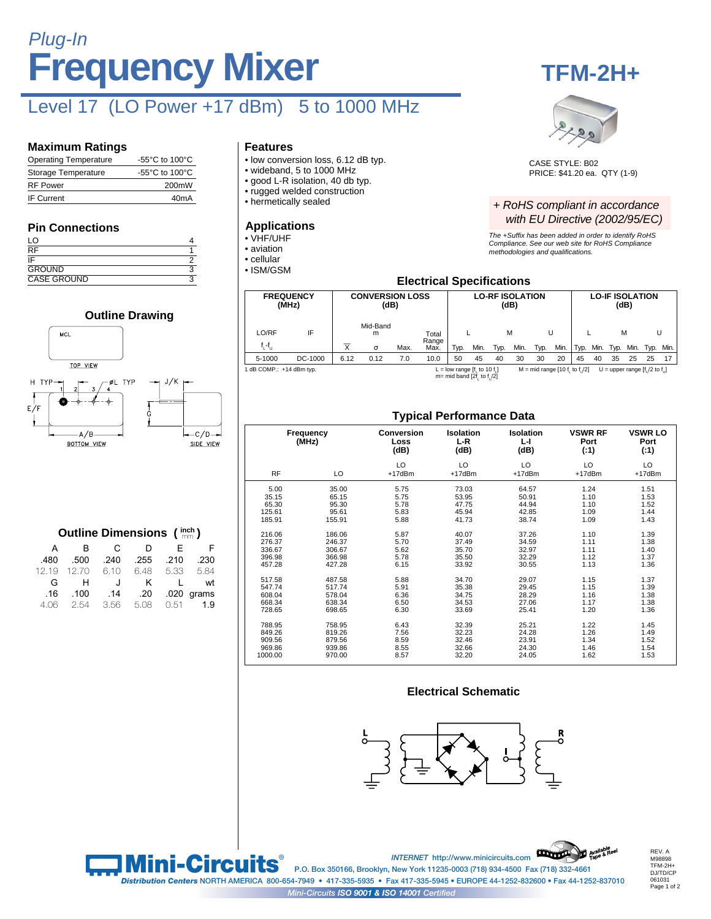# **Frequency Mixer** Plug-In

# Level 17 (LO Power +17 dBm) 5 to 1000 MHz

#### **Maximum Ratings**

| <b>Operating Temperature</b> | -55 $\mathrm{^{\circ}C}$ to 100 $\mathrm{^{\circ}C}$ |
|------------------------------|------------------------------------------------------|
| Storage Temperature          | $-55^{\circ}$ C to 100 $^{\circ}$ C                  |
| <b>RF Power</b>              | 200mW                                                |
| <b>IF Current</b>            | 40 <sub>m</sub> A                                    |

#### **Pin Connections**

H TYP

| LO                       |   |
|--------------------------|---|
| $\overline{\mathsf{RF}}$ |   |
| īΕ                       |   |
| <b>GROUND</b>            | c |
| <b>CASE GROUND</b>       |   |

### **Outline Drawing** MCL TOP VIEW  $J/K$



#### **Outline Dimensions (inch)**

| F            | F.   | D    | $\mathbf{C}$ | B.          | A    |
|--------------|------|------|--------------|-------------|------|
| .230         | .210 | .255 | .240         | .500        | .480 |
| 5.84         | 5.33 | 6.48 | 6.10         | 12.19 12.70 |      |
| wt           | L    | K    | J.           | H.          | G    |
| $.020$ grams |      | .20  | .14          | .100        | .16  |
| 1.9          | 0.51 | 5.08 | 3.56         | 2.54        | 4.06 |

#### **Features**

- low conversion loss, 6.12 dB typ.
- wideband, 5 to 1000 MHz
- good L-R isolation, 40 db typ.
- rugged welded construction • hermetically sealed
- 
- **Applications**
- VHF/UHF
- aviation
- cellular
- ISM/GSM





CASE STYLE: B02 PRICE: \$41.20 ea. QTY (1-9)

#### + RoHS compliant in accordance with EU Directive (2002/95/EC)

The +Suffix has been added in order to identify RoHS Compliance. See our web site for RoHS Compliance methodologies and qualifi cations.

#### **Electrical Specifications**

|                          | <b>FREQUENCY</b><br>(MHz) |                         | <b>CONVERSION LOSS</b><br>(dB) |      |                |                                |      | <b>LO-RF ISOLATION</b> | (dB) |                                 |      |      | <b>LO-IF ISOLATION</b> | (dB) |      |                                   |           |
|--------------------------|---------------------------|-------------------------|--------------------------------|------|----------------|--------------------------------|------|------------------------|------|---------------------------------|------|------|------------------------|------|------|-----------------------------------|-----------|
| LO/RF                    | IF                        |                         | Mid-Band<br>m                  |      | Total<br>Range |                                |      |                        | М    |                                 |      |      |                        | M    |      | U                                 |           |
| $f_i - f_{i+1}$          |                           | $\overline{\mathsf{x}}$ | $\sigma$                       | Max. | Max.           | Typ.                           | Min. | Typ.                   | Min. | Typ.                            | Min. | Typ. | Min.                   | Typ. | Min. |                                   | Typ. Min. |
| 5-1000                   | DC-1000                   | 6.12                    | 0.12                           | 7.0  | 10.0           | 50                             | 45   | 40                     | 30   | 30                              | 20   | 45   | 40                     | 35   | 25   | 25                                | 17        |
| 1 dB COMP.: +14 dBm typ. |                           |                         |                                |      |                | L = low range $[f, to 10 f, ]$ |      |                        |      | $M = mid range [10 f, to f]/2]$ |      |      |                        |      |      | U = upper range $[f_1/2$ to $f_1$ |           |

L = low range  $[f_L$  to 10  $f_L$ <br>m= mid band [2 $f_L$  to  $f_U/2$ ]

#### **Typical Performance Data**

|           |                    | ╯                                 |                            |                        |                                  |                                |
|-----------|--------------------|-----------------------------------|----------------------------|------------------------|----------------------------------|--------------------------------|
|           | Frequency<br>(MHz) | <b>Conversion</b><br>Loss<br>(dB) | Isolation<br>$L-R$<br>(dB) | Isolation<br>ы<br>(dB) | <b>VSWR RF</b><br>Port<br>( : 1) | <b>VSWR LO</b><br>Port<br>(.1) |
|           |                    | LO                                | LO                         | LO                     | LO                               | LO                             |
| <b>RF</b> | LO                 | $+17$ d $Bm$                      | $+17$ d $Bm$               | $+17$ d $Bm$           | $+17$ d $Bm$                     | $+17$ d $Bm$                   |
| 5.00      | 35.00              | 5.75                              | 73.03                      | 64.57                  | 1.24                             | 1.51                           |
| 35.15     | 65.15              | 5.75                              | 53.95                      | 50.91                  | 1.10                             | 1.53                           |
| 65.30     | 95.30              | 5.78                              | 47.75                      | 44.94                  | 1.10                             | 1.52                           |
| 125.61    | 95.61              | 5.83                              | 45.94                      | 42.85                  | 1.09                             | 1.44                           |
| 185.91    | 155.91             | 5.88                              | 41.73                      | 38.74                  | 1.09                             | 1.43                           |
| 216.06    | 186.06             | 5.87                              | 40.07                      | 37.26                  | 1.10                             | 1.39                           |
| 276.37    | 246.37             | 5.70                              | 37.49                      | 34.59                  | 1.11                             | 1.38                           |
| 336.67    | 306.67             | 5.62                              | 35.70                      | 32.97                  | 1.11                             | 1.40                           |
| 396.98    | 366.98             | 5.78                              | 35.50                      | 32.29                  | 1.12                             | 1.37                           |
| 457.28    | 427.28             | 6.15                              | 33.92                      | 30.55                  | 1.13                             | 1.36                           |
| 517.58    | 487.58             | 5.88                              | 34.70                      | 29.07                  | 1.15                             | 1.37                           |
| 547.74    | 517.74             | 5.91                              | 35.38                      | 29.45                  | 1.15                             | 1.39                           |
| 608.04    | 578.04             | 6.36                              | 34.75                      | 28.29                  | 1.16                             | 1.38                           |
| 668.34    | 638.34             | 6.50                              | 34.53                      | 27.06                  | 1.17                             | 1.38                           |
| 728.65    | 698.65             | 6.30                              | 33.69                      | 25.41                  | 1.20                             | 1.36                           |
| 788.95    | 758.95             | 6.43                              | 32.39                      | 25.21                  | 1.22                             | 1.45                           |
| 849.26    | 819.26             | 7.56                              | 32.23                      | 24.28                  | 1.26                             | 1.49                           |
| 909.56    | 879.56             | 8.59                              | 32.46                      | 23.91                  | 1.34                             | 1.52                           |
| 969.86    | 939.86             | 8.55                              | 32.66                      | 24.30                  | 1.46                             | 1.54                           |
| 1000.00   | 970.00             | 8.57                              | 32.20                      | 24.05                  | 1.62                             | 1.53                           |

#### **Electrical Schematic**





REV. A M98898 TFM-2H+ DJ/TD/CP 061031 Page 1 of 2

**P.O. Box 350166, Brooklyn, New York 11235-0003 (718) 934-4500 Fax (718) 332-4661 Mini-Circuits.com**<br> **Distribution Centers** NORTH AMERICA 800-654-7949 • 417-335-5935 • Fax 417-335-5945 • EUROPE 44-1252-832600 • Fax 44-1252-837010 *Mini-Circuits ISO 9001 & ISO 14001 Certified*

**®**